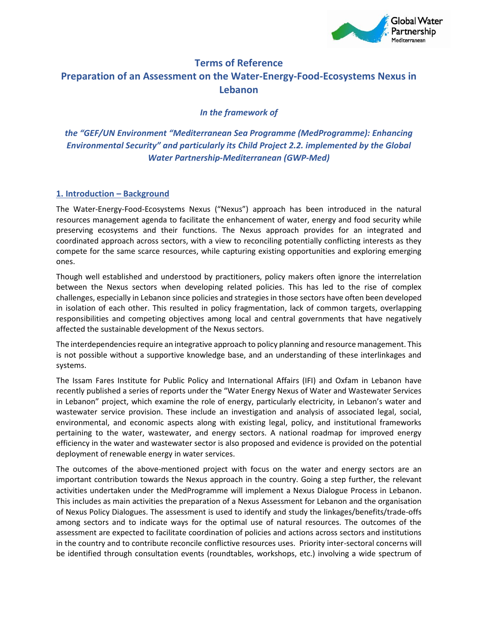

### **Terms of Reference**

# **Preparation of an Assessment on the Water-Energy-Food-Ecosystems Nexus in Lebanon**

*In the framework of*

# *the "GEF/UN Environment "Mediterranean Sea Programme (MedProgramme): Enhancing Environmental Security" and particularly its Child Project 2.2. implemented by the Global Water Partnership-Mediterranean (GWP-Med)*

#### **1. Introduction – Background**

The Water-Energy-Food-Ecosystems Nexus ("Nexus") approach has been introduced in the natural resources management agenda to facilitate the enhancement of water, energy and food security while preserving ecosystems and their functions. The Nexus approach provides for an integrated and coordinated approach across sectors, with a view to reconciling potentially conflicting interests as they compete for the same scarce resources, while capturing existing opportunities and exploring emerging ones.

Though well established and understood by practitioners, policy makers often ignore the interrelation between the Nexus sectors when developing related policies. This has led to the rise of complex challenges, especially in Lebanon since policies and strategies in those sectors have often been developed in isolation of each other. This resulted in policy fragmentation, lack of common targets, overlapping responsibilities and competing objectives among local and central governments that have negatively affected the sustainable development of the Nexus sectors.

The interdependencies require an integrative approach to policy planning and resource management. This is not possible without a supportive knowledge base, and an understanding of these interlinkages and systems.

The Issam Fares Institute for Public Policy and International Affairs (IFI) and Oxfam in Lebanon have recently published a series of reports under the "Water Energy Nexus of Water and Wastewater Services in Lebanon" project, which examine the role of energy, particularly electricity, in Lebanon's water and wastewater service provision. These include an investigation and analysis of associated legal, social, environmental, and economic aspects along with existing legal, policy, and institutional frameworks pertaining to the water, wastewater, and energy sectors. A national roadmap for improved energy efficiency in the water and wastewater sector is also proposed and evidence is provided on the potential deployment of renewable energy in water services.

The outcomes of the above-mentioned project with focus on the water and energy sectors are an important contribution towards the Nexus approach in the country. Going a step further, the relevant activities undertaken under the MedProgramme will implement a Nexus Dialogue Process in Lebanon. This includes as main activities the preparation of a Nexus Assessment for Lebanon and the organisation of Nexus Policy Dialogues. The assessment is used to identify and study the linkages/benefits/trade-offs among sectors and to indicate ways for the optimal use of natural resources. The outcomes of the assessment are expected to facilitate coordination of policies and actions across sectors and institutions in the country and to contribute reconcile conflictive resources uses. Priority inter-sectoral concerns will be identified through consultation events (roundtables, workshops, etc.) involving a wide spectrum of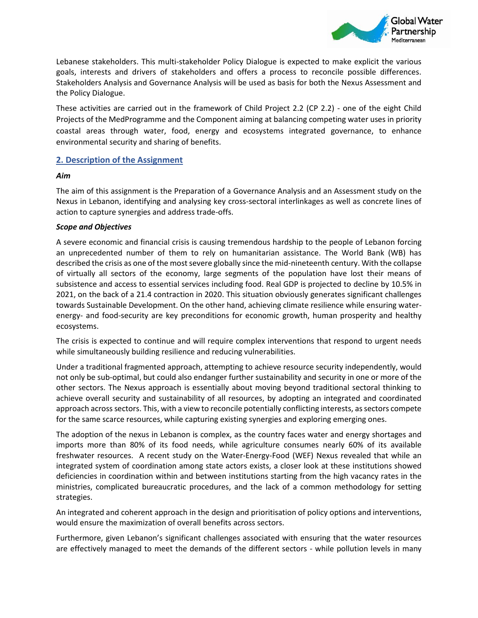

Lebanese stakeholders. This multi-stakeholder Policy Dialogue is expected to make explicit the various goals, interests and drivers of stakeholders and offers a process to reconcile possible differences. Stakeholders Analysis and Governance Analysis will be used as basis for both the Nexus Assessment and the Policy Dialogue.

These activities are carried out in the framework of Child Project 2.2 (CP 2.2) - one of the eight Child Projects of the MedProgramme and the Component aiming at balancing competing water uses in priority coastal areas through water, food, energy and ecosystems integrated governance, to enhance environmental security and sharing of benefits.

#### **2. Description of the Assignment**

#### *Aim*

The aim of this assignment is the Preparation of a Governance Analysis and an Assessment study on the Nexus in Lebanon, identifying and analysing key cross-sectoral interlinkages as well as concrete lines of action to capture synergies and address trade-offs.

#### *Scope and Objectives*

A severe economic and financial crisis is causing tremendous hardship to the people of Lebanon forcing an unprecedented number of them to rely on humanitarian assistance. The World Bank (WB) has described the crisis as one of the most severe globally since the mid-nineteenth century. With the collapse of virtually all sectors of the economy, large segments of the population have lost their means of subsistence and access to essential services including food. Real GDP is projected to decline by 10.5% in 2021, on the back of a 21.4 contraction in 2020. This situation obviously generates significant challenges towards Sustainable Development. On the other hand, achieving climate resilience while ensuring waterenergy- and food-security are key preconditions for economic growth, human prosperity and healthy ecosystems.

The crisis is expected to continue and will require complex interventions that respond to urgent needs while simultaneously building resilience and reducing vulnerabilities.

Under a traditional fragmented approach, attempting to achieve resource security independently, would not only be sub-optimal, but could also endanger further sustainability and security in one or more of the other sectors. The Nexus approach is essentially about moving beyond traditional sectoral thinking to achieve overall security and sustainability of all resources, by adopting an integrated and coordinated approach across sectors. This, with a view to reconcile potentially conflicting interests, as sectors compete for the same scarce resources, while capturing existing synergies and exploring emerging ones.

The adoption of the nexus in Lebanon is complex, as the country faces water and energy shortages and imports more than 80% of its food needs, while agriculture consumes nearly 60% of its available freshwater resources. A recent study on the Water-Energy-Food (WEF) Nexus revealed that while an integrated system of coordination among state actors exists, a closer look at these institutions showed deficiencies in coordination within and between institutions starting from the high vacancy rates in the ministries, complicated bureaucratic procedures, and the lack of a common methodology for setting strategies.

An integrated and coherent approach in the design and prioritisation of policy options and interventions, would ensure the maximization of overall benefits across sectors.

Furthermore, given Lebanon's significant challenges associated with ensuring that the water resources are effectively managed to meet the demands of the different sectors - while pollution levels in many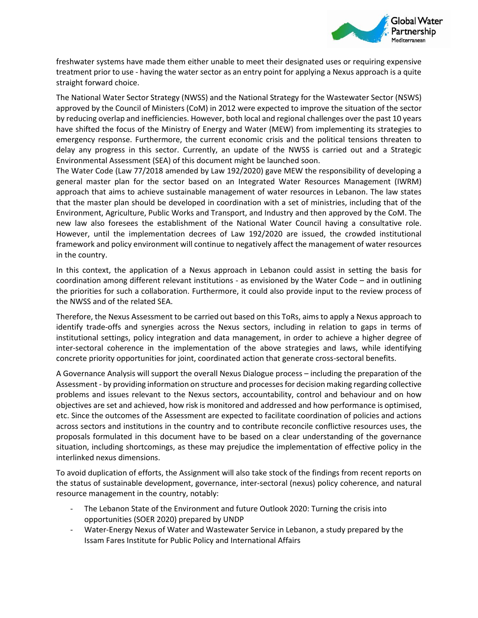

freshwater systems have made them either unable to meet their designated uses or requiring expensive treatment prior to use - having the water sector as an entry point for applying a Nexus approach is a quite straight forward choice.

The National Water Sector Strategy (NWSS) and the National Strategy for the Wastewater Sector (NSWS) approved by the Council of Ministers (CoM) in 2012 were expected to improve the situation of the sector by reducing overlap and inefficiencies. However, both local and regional challenges over the past 10 years have shifted the focus of the Ministry of Energy and Water (MEW) from implementing its strategies to emergency response. Furthermore, the current economic crisis and the political tensions threaten to delay any progress in this sector. Currently, an update of the NWSS is carried out and a Strategic Environmental Assessment (SEA) of this document might be launched soon.

The Water Code (Law 77/2018 amended by Law 192/2020) gave MEW the responsibility of developing a general master plan for the sector based on an Integrated Water Resources Management (IWRM) approach that aims to achieve sustainable management of water resources in Lebanon. The law states that the master plan should be developed in coordination with a set of ministries, including that of the Environment, Agriculture, Public Works and Transport, and Industry and then approved by the CoM. The new law also foresees the establishment of the National Water Council having a consultative role. However, until the implementation decrees of Law 192/2020 are issued, the crowded institutional framework and policy environment will continue to negatively affect the management of water resources in the country.

In this context, the application of a Nexus approach in Lebanon could assist in setting the basis for coordination among different relevant institutions - as envisioned by the Water Code – and in outlining the priorities for such a collaboration. Furthermore, it could also provide input to the review process of the NWSS and of the related SEA.

Therefore, the Nexus Assessment to be carried out based on this ToRs, aims to apply a Nexus approach to identify trade-offs and synergies across the Nexus sectors, including in relation to gaps in terms of institutional settings, policy integration and data management, in order to achieve a higher degree of inter-sectoral coherence in the implementation of the above strategies and laws, while identifying concrete priority opportunities for joint, coordinated action that generate cross-sectoral benefits.

A Governance Analysis will support the overall Nexus Dialogue process – including the preparation of the Assessment - by providing information on structure and processes for decision making regarding collective problems and issues relevant to the Nexus sectors, accountability, control and behaviour and on how objectives are set and achieved, how risk is monitored and addressed and how performance is optimised, etc. Since the outcomes of the Assessment are expected to facilitate coordination of policies and actions across sectors and institutions in the country and to contribute reconcile conflictive resources uses, the proposals formulated in this document have to be based on a clear understanding of the governance situation, including shortcomings, as these may prejudice the implementation of effective policy in the interlinked nexus dimensions.

To avoid duplication of efforts, the Assignment will also take stock of the findings from recent reports on the status of sustainable development, governance, inter-sectoral (nexus) policy coherence, and natural resource management in the country, notably:

- The Lebanon State of the Environment and future Outlook 2020: Turning the crisis into opportunities (SOER 2020) prepared by UNDP
- Water-Energy Nexus of Water and Wastewater Service in Lebanon, a study prepared by the Issam Fares Institute for Public Policy and International Affairs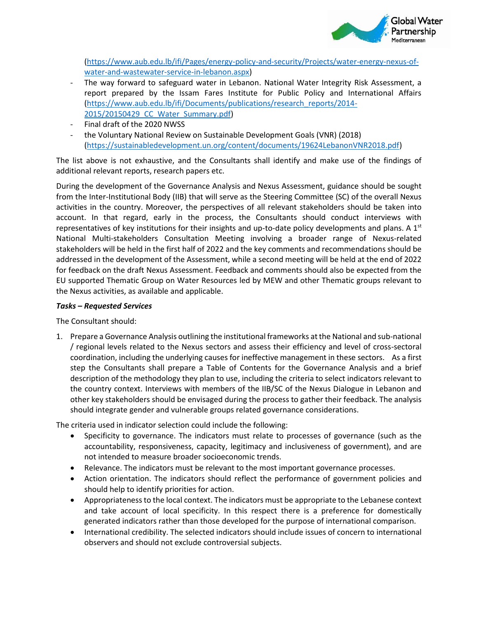

[\(https://www.aub.edu.lb/ifi/Pages/energy-policy-and-security/Projects/water-energy-nexus-of](https://www.aub.edu.lb/ifi/Pages/energy-policy-and-security/Projects/water-energy-nexus-of-water-and-wastewater-service-in-lebanon.aspx)[water-and-wastewater-service-in-lebanon.aspx\)](https://www.aub.edu.lb/ifi/Pages/energy-policy-and-security/Projects/water-energy-nexus-of-water-and-wastewater-service-in-lebanon.aspx)

- The way forward to safeguard water in Lebanon. National Water Integrity Risk Assessment, a report prepared by the Issam Fares Institute for Public Policy and International Affairs [\(https://www.aub.edu.lb/ifi/Documents/publications/research\\_reports/2014-](https://www.aub.edu.lb/ifi/Documents/publications/research_reports/2014-2015/20150429_CC_Water_Summary.pdf) [2015/20150429\\_CC\\_Water\\_Summary.pdf\)](https://www.aub.edu.lb/ifi/Documents/publications/research_reports/2014-2015/20150429_CC_Water_Summary.pdf)
- Final draft of the 2020 NWSS
- the Voluntary National Review on Sustainable Development Goals (VNR) (2018) [\(https://sustainabledevelopment.un.org/content/documents/19624LebanonVNR2018.pdf\)](https://sustainabledevelopment.un.org/content/documents/19624LebanonVNR2018.pdf)

The list above is not exhaustive, and the Consultants shall identify and make use of the findings of additional relevant reports, research papers etc.

During the development of the Governance Analysis and Nexus Assessment, guidance should be sought from the Inter-Institutional Body (IIB) that will serve as the Steering Committee (SC) of the overall Nexus activities in the country. Moreover, the perspectives of all relevant stakeholders should be taken into account. In that regard, early in the process, the Consultants should conduct interviews with representatives of key institutions for their insights and up-to-date policy developments and plans. A  $1<sup>st</sup>$ National Multi-stakeholders Consultation Meeting involving a broader range of Nexus-related stakeholders will be held in the first half of 2022 and the key comments and recommendations should be addressed in the development of the Assessment, while a second meeting will be held at the end of 2022 for feedback on the draft Nexus Assessment. Feedback and comments should also be expected from the EU supported Thematic Group on Water Resources led by MEW and other Thematic groups relevant to the Nexus activities, as available and applicable.

#### *Tasks – Requested Services*

The Consultant should:

1. Prepare a Governance Analysis outlining the institutional frameworks at the National and sub-national / regional levels related to the Nexus sectors and assess their efficiency and level of cross-sectoral coordination, including the underlying causes for ineffective management in these sectors. As a first step the Consultants shall prepare a Table of Contents for the Governance Analysis and a brief description of the methodology they plan to use, including the criteria to select indicators relevant to the country context. Interviews with members of the IIB/SC of the Nexus Dialogue in Lebanon and other key stakeholders should be envisaged during the process to gather their feedback. The analysis should integrate gender and vulnerable groups related governance considerations.

The criteria used in indicator selection could include the following:

- Specificity to governance. The indicators must relate to processes of governance (such as the accountability, responsiveness, capacity, legitimacy and inclusiveness of government), and are not intended to measure broader socioeconomic trends.
- Relevance. The indicators must be relevant to the most important governance processes.
- Action orientation. The indicators should reflect the performance of government policies and should help to identify priorities for action.
- Appropriateness to the local context. The indicators must be appropriate to the Lebanese context and take account of local specificity. In this respect there is a preference for domestically generated indicators rather than those developed for the purpose of international comparison.
- International credibility. The selected indicators should include issues of concern to international observers and should not exclude controversial subjects.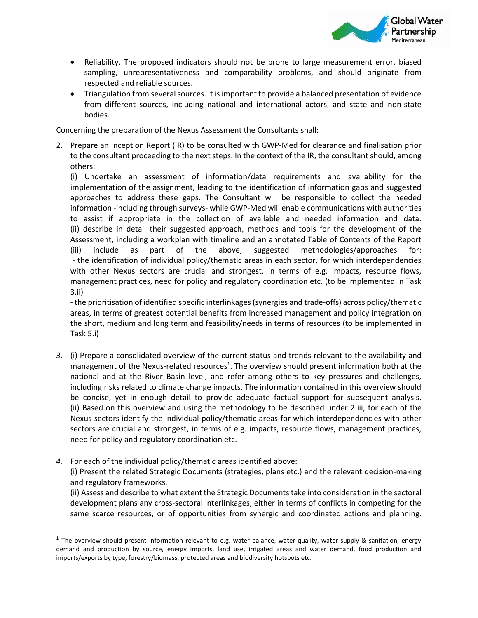

- Reliability. The proposed indicators should not be prone to large measurement error, biased sampling, unrepresentativeness and comparability problems, and should originate from respected and reliable sources.
- Triangulation from several sources. It is important to provide a balanced presentation of evidence from different sources, including national and international actors, and state and non-state bodies.

Concerning the preparation of the Nexus Assessment the Consultants shall:

2. Prepare an Inception Report (IR) to be consulted with GWP-Med for clearance and finalisation prior to the consultant proceeding to the next steps. In the context of the IR, the consultant should, among others:

(i) Undertake an assessment of information/data requirements and availability for the implementation of the assignment, leading to the identification of information gaps and suggested approaches to address these gaps. The Consultant will be responsible to collect the needed information -including through surveys- while GWP-Med will enable communications with authorities to assist if appropriate in the collection of available and needed information and data. (ii) describe in detail their suggested approach, methods and tools for the development of the Assessment, including a workplan with timeline and an annotated Table of Contents of the Report (iii) include as part of the above, suggested methodologies/approaches for: - the identification of individual policy/thematic areas in each sector, for which interdependencies with other Nexus sectors are crucial and strongest, in terms of e.g. impacts, resource flows, management practices, need for policy and regulatory coordination etc. (to be implemented in Task 3.ii)

- the prioritisation of identified specific interlinkages (synergies and trade-offs) across policy/thematic areas, in terms of greatest potential benefits from increased management and policy integration on the short, medium and long term and feasibility/needs in terms of resources (to be implemented in Task 5.i)

- *3.* (i) Prepare a consolidated overview of the current status and trends relevant to the availability and management of the Nexus-related resources<sup>1</sup>. The overview should present information both at the national and at the River Basin level, and refer among others to key pressures and challenges, including risks related to climate change impacts. The information contained in this overview should be concise, yet in enough detail to provide adequate factual support for subsequent analysis. (ii) Based on this overview and using the methodology to be described under 2.iii, for each of the Nexus sectors identify the individual policy/thematic areas for which interdependencies with other sectors are crucial and strongest, in terms of e.g. impacts, resource flows, management practices, need for policy and regulatory coordination etc.
- *4.* For each of the individual policy/thematic areas identified above:

(i) Present the related Strategic Documents (strategies, plans etc.) and the relevant decision-making and regulatory frameworks.

(ii) Assess and describe to what extent the Strategic Documents take into consideration in the sectoral development plans any cross-sectoral interlinkages, either in terms of conflicts in competing for the same scarce resources, or of opportunities from synergic and coordinated actions and planning.

 $^1$  The overview should present information relevant to e.g. water balance, water quality, water supply & sanitation, energy demand and production by source, energy imports, land use, irrigated areas and water demand, food production and imports/exports by type, forestry/biomass, protected areas and biodiversity hotspots etc.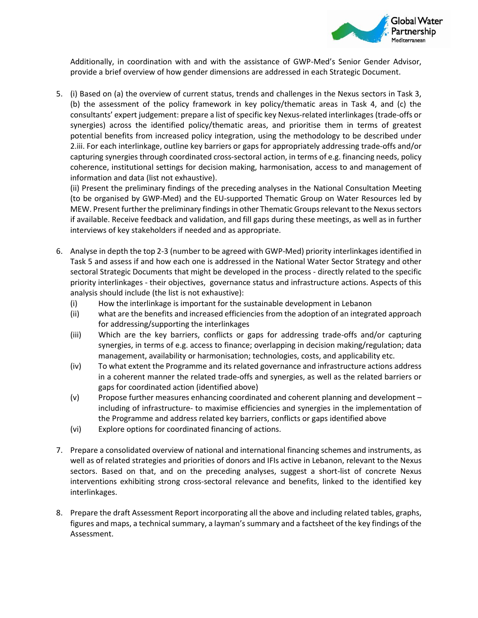

Additionally, in coordination with and with the assistance of GWP-Med's Senior Gender Advisor, provide a brief overview of how gender dimensions are addressed in each Strategic Document.

5. (i) Based on (a) the overview of current status, trends and challenges in the Nexus sectors in Task 3, (b) the assessment of the policy framework in key policy/thematic areas in Task 4, and (c) the consultants' expert judgement: prepare a list of specific key Nexus-related interlinkages (trade-offs or synergies) across the identified policy/thematic areas, and prioritise them in terms of greatest potential benefits from increased policy integration, using the methodology to be described under 2.iii. For each interlinkage, outline key barriers or gaps for appropriately addressing trade-offs and/or capturing synergies through coordinated cross-sectoral action, in terms of e.g. financing needs, policy coherence, institutional settings for decision making, harmonisation, access to and management of information and data (list not exhaustive).

(ii) Present the preliminary findings of the preceding analyses in the National Consultation Meeting (to be organised by GWP-Med) and the EU-supported Thematic Group on Water Resources led by MEW. Present further the preliminary findings in other Thematic Groups relevant to the Nexus sectors if available. Receive feedback and validation, and fill gaps during these meetings, as well as in further interviews of key stakeholders if needed and as appropriate.

- 6. Analyse in depth the top 2-3 (number to be agreed with GWP-Med) priority interlinkages identified in Task 5 and assess if and how each one is addressed in the National Water Sector Strategy and other sectoral Strategic Documents that might be developed in the process - directly related to the specific priority interlinkages - their objectives, governance status and infrastructure actions. Aspects of this analysis should include (the list is not exhaustive):
	- (i) How the interlinkage is important for the sustainable development in Lebanon
	- (ii) what are the benefits and increased efficiencies from the adoption of an integrated approach for addressing/supporting the interlinkages
	- (iii) Which are the key barriers, conflicts or gaps for addressing trade-offs and/or capturing synergies, in terms of e.g. access to finance; overlapping in decision making/regulation; data management, availability or harmonisation; technologies, costs, and applicability etc.
	- (iv) To what extent the Programme and its related governance and infrastructure actions address in a coherent manner the related trade-offs and synergies, as well as the related barriers or gaps for coordinated action (identified above)
	- (v) Propose further measures enhancing coordinated and coherent planning and development including of infrastructure- to maximise efficiencies and synergies in the implementation of the Programme and address related key barriers, conflicts or gaps identified above
	- (vi) Explore options for coordinated financing of actions.
- 7. Prepare a consolidated overview of national and international financing schemes and instruments, as well as of related strategies and priorities of donors and IFIs active in Lebanon, relevant to the Nexus sectors. Based on that, and on the preceding analyses, suggest a short-list of concrete Nexus interventions exhibiting strong cross-sectoral relevance and benefits, linked to the identified key interlinkages.
- 8. Prepare the draft Assessment Report incorporating all the above and including related tables, graphs, figures and maps, a technical summary, a layman's summary and a factsheet of the key findings of the Assessment.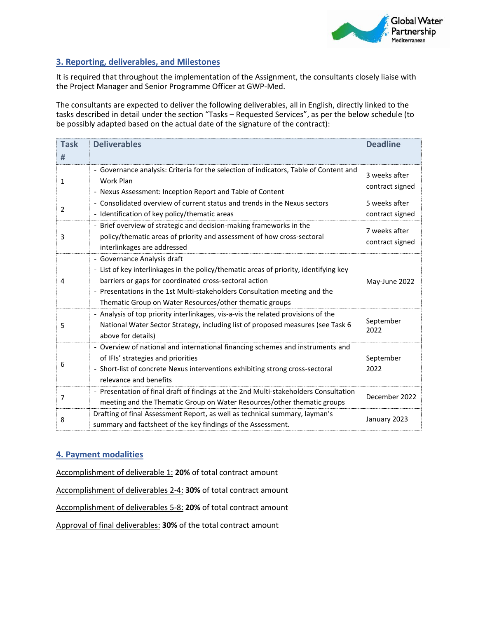

# **3. Reporting, deliverables, and Milestones**

It is required that throughout the implementation of the Assignment, the consultants closely liaise with the Project Manager and Senior Programme Officer at GWP-Med.

The consultants are expected to deliver the following deliverables, all in English, directly linked to the tasks described in detail under the section "Tasks – Requested Services", as per the below schedule (to be possibly adapted based on the actual date of the signature of the contract):

| <b>Task</b><br># | <b>Deliverables</b>                                                                                                                                                                                                                                                                                                     | <b>Deadline</b>                  |
|------------------|-------------------------------------------------------------------------------------------------------------------------------------------------------------------------------------------------------------------------------------------------------------------------------------------------------------------------|----------------------------------|
| $\mathbf{1}$     | - Governance analysis: Criteria for the selection of indicators, Table of Content and<br>Work Plan<br>- Nexus Assessment: Inception Report and Table of Content                                                                                                                                                         | 3 weeks after<br>contract signed |
| 2                | - Consolidated overview of current status and trends in the Nexus sectors<br>- Identification of key policy/thematic areas                                                                                                                                                                                              | 5 weeks after<br>contract signed |
| 3                | - Brief overview of strategic and decision-making frameworks in the<br>policy/thematic areas of priority and assessment of how cross-sectoral<br>interlinkages are addressed                                                                                                                                            | 7 weeks after<br>contract signed |
| 4                | - Governance Analysis draft<br>- List of key interlinkages in the policy/thematic areas of priority, identifying key<br>barriers or gaps for coordinated cross-sectoral action<br>- Presentations in the 1st Multi-stakeholders Consultation meeting and the<br>Thematic Group on Water Resources/other thematic groups | May-June 2022                    |
| 5                | - Analysis of top priority interlinkages, vis-a-vis the related provisions of the<br>National Water Sector Strategy, including list of proposed measures (see Task 6<br>above for details)                                                                                                                              | September<br>2022                |
| 6                | - Overview of national and international financing schemes and instruments and<br>of IFIs' strategies and priorities<br>- Short-list of concrete Nexus interventions exhibiting strong cross-sectoral<br>relevance and benefits                                                                                         | September<br>2022                |
| 7                | - Presentation of final draft of findings at the 2nd Multi-stakeholders Consultation<br>meeting and the Thematic Group on Water Resources/other thematic groups                                                                                                                                                         | December 2022                    |
| 8                | Drafting of final Assessment Report, as well as technical summary, layman's<br>summary and factsheet of the key findings of the Assessment.                                                                                                                                                                             | January 2023                     |

#### **4. Payment modalities**

Accomplishment of deliverable 1: **20%** of total contract amount

Accomplishment of deliverables 2-4: **30%** of total contract amount

Accomplishment of deliverables 5-8: **20%** of total contract amount

Approval of final deliverables: **30%** of the total contract amount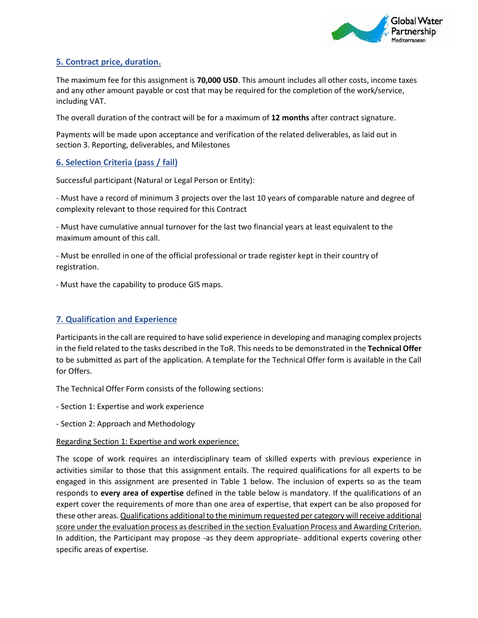

# **5. Contract price, duration.**

The maximum fee for this assignment is **70,000 USD**. This amount includes all other costs, income taxes and any other amount payable or cost that may be required for the completion of the work/service, including VAT.

The overall duration of the contract will be for a maximum of **12 months** after contract signature.

Payments will be made upon acceptance and verification of the related deliverables, as laid out in section 3. Reporting, deliverables, and Milestones

# **6. Selection Criteria (pass / fail)**

Successful participant (Natural or Legal Person or Entity):

- Must have a record of minimum 3 projects over the last 10 years of comparable nature and degree of complexity relevant to those required for this Contract

- Must have cumulative annual turnover for the last two financial years at least equivalent to the maximum amount of this call.

- Must be enrolled in one of the official professional or trade register kept in their country of registration.

- Must have the capability to produce GIS maps.

# **7. Qualification and Experience**

Participants in the call are required to have solid experience in developing and managing complex projects in the field related to the tasks described in the ToR. This needs to be demonstrated in the **Technical Offer** to be submitted as part of the application. A template for the Technical Offer form is available in the Call for Offers.

The Technical Offer Form consists of the following sections:

- Section 1: Expertise and work experience

- Section 2: Approach and Methodology

#### Regarding Section 1: Expertise and work experience:

The scope of work requires an interdisciplinary team of skilled experts with previous experience in activities similar to those that this assignment entails. The required qualifications for all experts to be engaged in this assignment are presented in Table 1 below. The inclusion of experts so as the team responds to **every area of expertise** defined in the table below is mandatory. If the qualifications of an expert cover the requirements of more than one area of expertise, that expert can be also proposed for these other areas. Qualifications additional to the minimum requested per category will receive additional score under the evaluation process as described in the section Evaluation Process and Awarding Criterion. In addition, the Participant may propose -as they deem appropriate- additional experts covering other specific areas of expertise.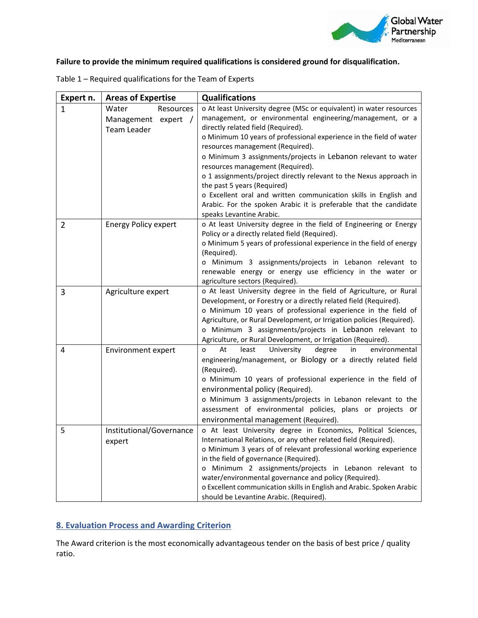

# **Failure to provide the minimum required qualifications is considered ground for disqualification.**

| Expert n.      | <b>Areas of Expertise</b>          | <b>Qualifications</b>                                                                                                |
|----------------|------------------------------------|----------------------------------------------------------------------------------------------------------------------|
| $\mathbf{1}$   | Water<br>Resources                 | o At least University degree (MSc or equivalent) in water resources                                                  |
|                | Management<br>expert<br>$\sqrt{ }$ | management, or environmental engineering/management, or a                                                            |
|                | <b>Team Leader</b>                 | directly related field (Required).                                                                                   |
|                |                                    | o Minimum 10 years of professional experience in the field of water<br>resources management (Required).              |
|                |                                    | o Minimum 3 assignments/projects in Lebanon relevant to water                                                        |
|                |                                    | resources management (Required).                                                                                     |
|                |                                    | o 1 assignments/project directly relevant to the Nexus approach in                                                   |
|                |                                    | the past 5 years (Required)                                                                                          |
|                |                                    | o Excellent oral and written communication skills in English and                                                     |
|                |                                    | Arabic. For the spoken Arabic it is preferable that the candidate                                                    |
|                |                                    | speaks Levantine Arabic.                                                                                             |
| $\overline{2}$ | <b>Energy Policy expert</b>        | o At least University degree in the field of Engineering or Energy                                                   |
|                |                                    | Policy or a directly related field (Required).                                                                       |
|                |                                    | o Minimum 5 years of professional experience in the field of energy                                                  |
|                |                                    | (Required).                                                                                                          |
|                |                                    | o Minimum 3 assignments/projects in Lebanon relevant to<br>renewable energy or energy use efficiency in the water or |
|                |                                    | agriculture sectors (Required).                                                                                      |
| 3              | Agriculture expert                 | o At least University degree in the field of Agriculture, or Rural                                                   |
|                |                                    | Development, or Forestry or a directly related field (Required).                                                     |
|                |                                    | o Minimum 10 years of professional experience in the field of                                                        |
|                |                                    | Agriculture, or Rural Development, or Irrigation policies (Required).                                                |
|                |                                    | o Minimum 3 assignments/projects in Lebanon relevant to                                                              |
|                |                                    | Agriculture, or Rural Development, or Irrigation (Required).                                                         |
| 4              | <b>Environment expert</b>          | University<br>At<br>least<br>degree<br>in<br>environmental<br>o                                                      |
|                |                                    | engineering/management, or Biology or a directly related field                                                       |
|                |                                    | (Required).                                                                                                          |
|                |                                    | o Minimum 10 years of professional experience in the field of                                                        |
|                |                                    | environmental policy (Required).<br>o Minimum 3 assignments/projects in Lebanon relevant to the                      |
|                |                                    | assessment of environmental policies, plans or projects or                                                           |
|                |                                    | environmental management (Required).                                                                                 |
| 5              | Institutional/Governance           | o At least University degree in Economics, Political Sciences,                                                       |
|                |                                    | International Relations, or any other related field (Required).                                                      |
|                | expert                             | o Minimum 3 years of of relevant professional working experience                                                     |
|                |                                    | in the field of governance (Required).                                                                               |
|                |                                    | o Minimum 2 assignments/projects in Lebanon relevant to                                                              |
|                |                                    | water/environmental governance and policy (Required).                                                                |
|                |                                    | o Excellent communication skills in English and Arabic. Spoken Arabic                                                |
|                |                                    | should be Levantine Arabic. (Required).                                                                              |

Table 1 – Required qualifications for the Team of Experts

# **8. Evaluation Process and Awarding Criterion**

The Award criterion is the most economically advantageous tender on the basis of best price / quality ratio.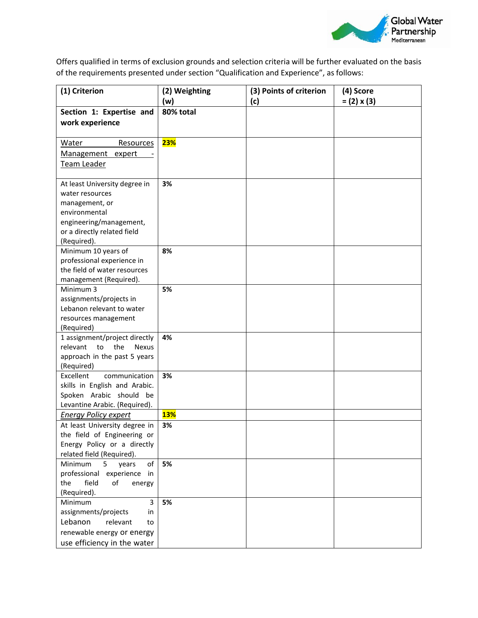

Offers qualified in terms of exclusion grounds and selection criteria will be further evaluated on the basis of the requirements presented under section "Qualification and Experience", as follows:

| (1) Criterion                               | (2) Weighting<br>(w) | (3) Points of criterion<br>(c) | (4) Score<br>$= (2) \times (3)$ |
|---------------------------------------------|----------------------|--------------------------------|---------------------------------|
| Section 1: Expertise and                    | 80% total            |                                |                                 |
| work experience                             |                      |                                |                                 |
|                                             |                      |                                |                                 |
| Water<br>Resources                          | 23%                  |                                |                                 |
| Management expert                           |                      |                                |                                 |
| Team Leader                                 |                      |                                |                                 |
|                                             |                      |                                |                                 |
| At least University degree in               | 3%                   |                                |                                 |
| water resources                             |                      |                                |                                 |
| management, or                              |                      |                                |                                 |
| environmental                               |                      |                                |                                 |
| engineering/management,                     |                      |                                |                                 |
| or a directly related field                 |                      |                                |                                 |
| (Required).                                 |                      |                                |                                 |
| Minimum 10 years of                         | 8%                   |                                |                                 |
| professional experience in                  |                      |                                |                                 |
| the field of water resources                |                      |                                |                                 |
| management (Required).                      |                      |                                |                                 |
| Minimum 3                                   | 5%                   |                                |                                 |
| assignments/projects in                     |                      |                                |                                 |
| Lebanon relevant to water                   |                      |                                |                                 |
| resources management                        |                      |                                |                                 |
| (Required)<br>1 assignment/project directly | 4%                   |                                |                                 |
| relevant<br>to<br>the<br>Nexus              |                      |                                |                                 |
| approach in the past 5 years                |                      |                                |                                 |
| (Required)                                  |                      |                                |                                 |
| Excellent<br>communication                  | 3%                   |                                |                                 |
| skills in English and Arabic.               |                      |                                |                                 |
| Spoken Arabic should be                     |                      |                                |                                 |
| Levantine Arabic. (Required).               |                      |                                |                                 |
| <b>Energy Policy expert</b>                 | <b>13%</b>           |                                |                                 |
| At least University degree in               | 3%                   |                                |                                 |
| the field of Engineering or                 |                      |                                |                                 |
| Energy Policy or a directly                 |                      |                                |                                 |
| related field (Required).                   |                      |                                |                                 |
| Minimum<br>5<br>of<br>years                 | 5%                   |                                |                                 |
| professional<br>experience in               |                      |                                |                                 |
| the<br>field<br>of<br>energy                |                      |                                |                                 |
| (Required).                                 |                      |                                |                                 |
| 3<br>Minimum                                | 5%                   |                                |                                 |
| assignments/projects<br>in                  |                      |                                |                                 |
| Lebanon<br>relevant<br>to                   |                      |                                |                                 |
| renewable energy or energy                  |                      |                                |                                 |
| use efficiency in the water                 |                      |                                |                                 |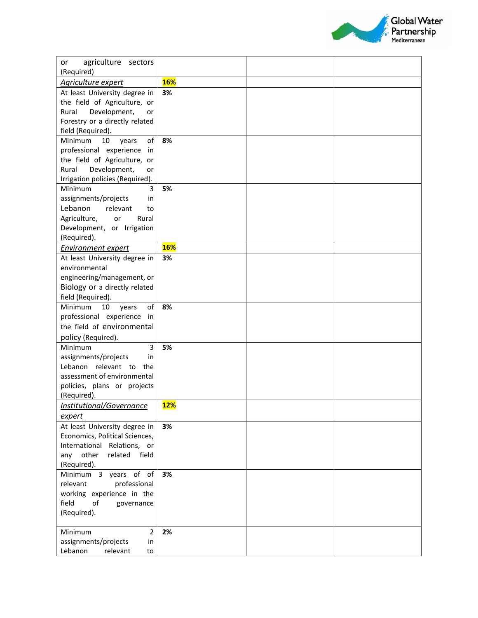

| agriculture sectors<br>or                               |            |  |
|---------------------------------------------------------|------------|--|
| (Required)                                              |            |  |
| Agriculture expert                                      | <b>16%</b> |  |
| At least University degree in                           | 3%         |  |
| the field of Agriculture, or                            |            |  |
| Rural<br>Development,<br>or                             |            |  |
| Forestry or a directly related                          |            |  |
| field (Required).                                       |            |  |
| of<br>Minimum<br>10<br>years                            | 8%         |  |
| professional experience<br>in                           |            |  |
| the field of Agriculture,<br>or                         |            |  |
| Rural<br>Development,<br>or                             |            |  |
| Irrigation policies (Required).                         |            |  |
| Minimum<br>3                                            | 5%         |  |
| assignments/projects<br>in                              |            |  |
| Lebanon<br>relevant<br>to                               |            |  |
| Agriculture,<br>Rural<br>or                             |            |  |
| Development, or Irrigation                              |            |  |
| (Required).                                             | <b>16%</b> |  |
| <b>Environment expert</b>                               |            |  |
| At least University degree in                           | 3%         |  |
| environmental<br>engineering/management, or             |            |  |
|                                                         |            |  |
| Biology or a directly related<br>field (Required).      |            |  |
| of<br><b>Minimum</b><br>10<br>years                     | 8%         |  |
| professional experience in                              |            |  |
| the field of environmental                              |            |  |
| policy (Required).                                      |            |  |
| 3<br>Minimum                                            | 5%         |  |
| assignments/projects<br>in                              |            |  |
| Lebanon relevant to the                                 |            |  |
| assessment of environmental                             |            |  |
| policies, plans or projects                             |            |  |
| (Required).                                             |            |  |
| Institutional/Governance                                | <b>12%</b> |  |
| <u>expert</u>                                           |            |  |
| At least University degree in                           | 3%         |  |
| Economics, Political Sciences,                          |            |  |
| International Relations, or                             |            |  |
| other<br>related<br>field<br>any                        |            |  |
| (Required).                                             |            |  |
| Minimum 3 years of of                                   | 3%         |  |
| relevant<br>professional                                |            |  |
| working experience in the                               |            |  |
| field<br>of<br>governance                               |            |  |
| (Required).                                             |            |  |
|                                                         |            |  |
| Minimum<br>$\overline{2}$<br>assignments/projects<br>in | 2%         |  |
| Lebanon<br>relevant<br>to                               |            |  |
|                                                         |            |  |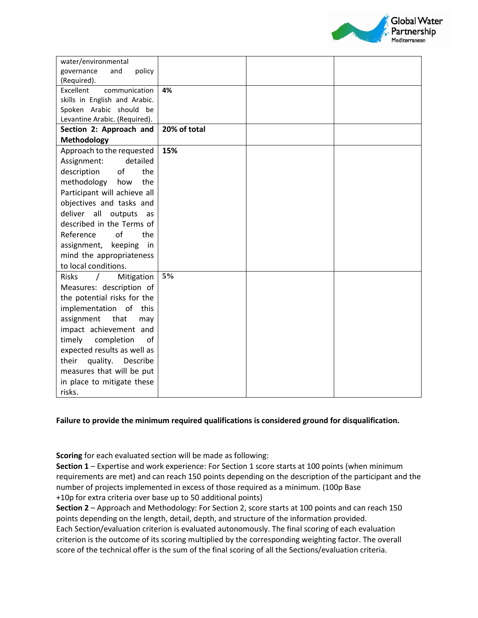

| water/environmental           |              |  |
|-------------------------------|--------------|--|
| and<br>policy<br>governance   |              |  |
| (Required).                   |              |  |
| Excellent<br>communication    | 4%           |  |
| skills in English and Arabic. |              |  |
| Spoken Arabic should be       |              |  |
| Levantine Arabic. (Required). | 20% of total |  |
| Section 2: Approach and       |              |  |
| Methodology                   |              |  |
| Approach to the requested     | 15%          |  |
| detailed<br>Assignment:       |              |  |
| the<br>description<br>of      |              |  |
| methodology<br>the<br>how     |              |  |
| Participant will achieve all  |              |  |
| objectives and tasks and      |              |  |
| deliver all<br>outputs<br>as  |              |  |
| described in the Terms of     |              |  |
| Reference<br>of<br>the        |              |  |
| assignment, keeping<br>in     |              |  |
| mind the appropriateness      |              |  |
| to local conditions.          |              |  |
| <b>Risks</b><br>Mitigation    | 5%           |  |
| Measures: description of      |              |  |
| the potential risks for the   |              |  |
| implementation of this        |              |  |
| assignment<br>that<br>may     |              |  |
| impact achievement and        |              |  |
| of<br>timely<br>completion    |              |  |
| expected results as well as   |              |  |
| quality.<br>their<br>Describe |              |  |
| measures that will be put     |              |  |
| in place to mitigate these    |              |  |
| risks.                        |              |  |

#### **Failure to provide the minimum required qualifications is considered ground for disqualification.**

**Scoring** for each evaluated section will be made as following:

**Section 1** – Expertise and work experience: For Section 1 score starts at 100 points (when minimum requirements are met) and can reach 150 points depending on the description of the participant and the number of projects implemented in excess of those required as a minimum. (100p Base +10p for extra criteria over base up to 50 additional points)

**Section 2** – Approach and Methodology: For Section 2, score starts at 100 points and can reach 150 points depending on the length, detail, depth, and structure of the information provided. Each Section/evaluation criterion is evaluated autonomously. The final scoring of each evaluation criterion is the outcome of its scoring multiplied by the corresponding weighting factor. The overall score of the technical offer is the sum of the final scoring of all the Sections/evaluation criteria.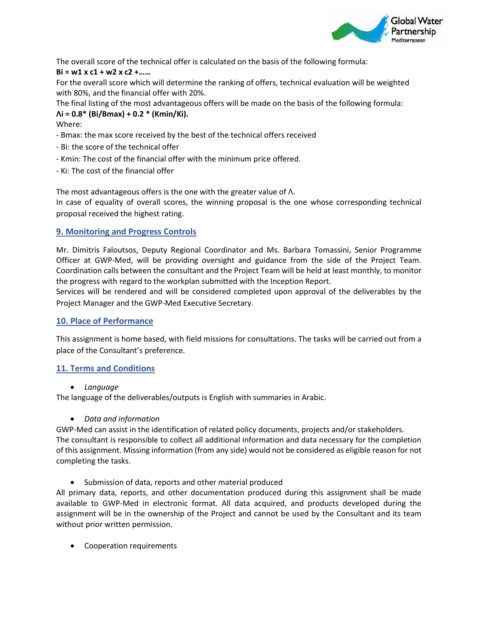

The overall score of the technical offer is calculated on the basis of the following formula:

# **Bi = w1 x c1 + w2 x c2 +……**

For the overall score which will determine the ranking of offers, technical evaluation will be weighted with 80%, and the financial offer with 20%.

The final listing of the most advantageous offers will be made on the basis of the following formula:

# **Λi = 0.8\* (Bi/Bmax) + 0.2 \* (Kmin/Ki).**

Where:

- Bmax: the max score received by the best of the technical offers received
- Bi: the score of the technical offer
- Kmin: The cost of the financial offer with the minimum price offered.
- Ki: The cost of the financial offer

The most advantageous offers is the one with the greater value of Λ. In case of equality of overall scores, the winning proposal is the one whose corresponding technical proposal received the highest rating.

# **9. Monitoring and Progress Controls**

Mr. Dimitris Faloutsos, Deputy Regional Coordinator and Ms. Barbara Tomassini, Senior Programme Officer at GWP-Med, will be providing oversight and guidance from the side of the Project Team. Coordination calls between the consultant and the Project Team will be held at least monthly, to monitor the progress with regard to the workplan submitted with the Inception Report.

Services will be rendered and will be considered completed upon approval of the deliverables by the Project Manager and the GWP-Med Executive Secretary.

# **10. Place of Performance**

This assignment is home based, with field missions for consultations. The tasks will be carried out from a place of the Consultant's preference.

# **11. Terms and Conditions**

• *Language* 

The language of the deliverables/outputs is English with summaries in Arabic.

# • *Data and information*

GWP-Med can assist in the identification of related policy documents, projects and/or stakeholders. The consultant is responsible to collect all additional information and data necessary for the completion of this assignment. Missing information (from any side) would not be considered as eligible reason for not completing the tasks.

• Submission of data, reports and other material produced

All primary data, reports, and other documentation produced during this assignment shall be made available to GWP-Med in electronic format. All data acquired, and products developed during the assignment will be in the ownership of the Project and cannot be used by the Consultant and its team without prior written permission.

• Cooperation requirements